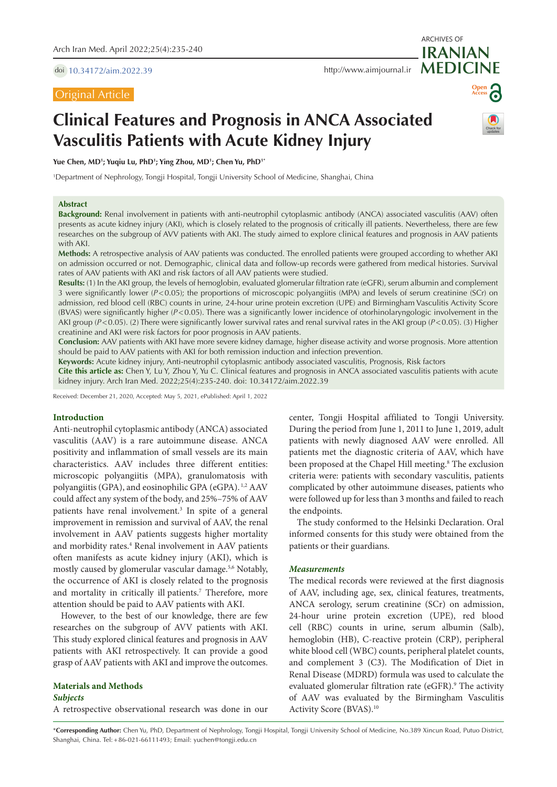doi [10.34172/aim.2022.39](https://doi.org/10.34172/aim.2022.39)

# Original Article

ARCHIVES OF

# **Open Access**

# **Clinical Features and Prognosis in ANCA Associated Vasculitis Patients with Acute Kidney Injury**



**Yue Chen, MD1 ; Yuqiu Lu, PhD1 ; Ying Zhou, MD1 ; Chen Yu, PhD1\***

1 Department of Nephrology, Tongji Hospital, Tongji University School of Medicine, Shanghai, China

### **Abstract**

**Background:** Renal involvement in patients with anti-neutrophil cytoplasmic antibody (ANCA) associated vasculitis (AAV) often presents as acute kidney injury (AKI), which is closely related to the prognosis of critically ill patients. Nevertheless, there are few researches on the subgroup of AVV patients with AKI. The study aimed to explore clinical features and prognosis in AAV patients with AKI.

**Methods:** A retrospective analysis of AAV patients was conducted. The enrolled patients were grouped according to whether AKI on admission occurred or not. Demographic, clinical data and follow-up records were gathered from medical histories. Survival rates of AAV patients with AKI and risk factors of all AAV patients were studied.

**Results:** (1) In the AKI group, the levels of hemoglobin, evaluated glomerular filtration rate (eGFR), serum albumin and complement 3 were significantly lower (*P*<0.05); the proportions of microscopic polyangiitis (MPA) and levels of serum creatinine (SCr) on admission, red blood cell (RBC) counts in urine, 24-hour urine protein excretion (UPE) and Birmingham Vasculitis Activity Score (BVAS) were significantly higher (*P*<0.05). There was a significantly lower incidence of otorhinolaryngologic involvement in the AKI group (*P*<0.05). (2) There were significantly lower survival rates and renal survival rates in the AKI group (*P*<0.05). (3) Higher creatinine and AKI were risk factors for poor prognosis in AAV patients.

**Conclusion:** AAV patients with AKI have more severe kidney damage, higher disease activity and worse prognosis. More attention should be paid to AAV patients with AKI for both remission induction and infection prevention.

**Keywords:** Acute kidney injury, Anti-neutrophil cytoplasmic antibody associated vasculitis, Prognosis, Risk factors

**Cite this article as:** Chen Y, Lu Y, Zhou Y, Yu C. Clinical features and prognosis in ANCA associated vasculitis patients with acute kidney injury. Arch Iran Med. 2022;25(4):235-240. doi: 10.34172/aim.2022.39

Received: December 21, 2020, Accepted: May 5, 2021, ePublished: April 1, 2022

### **Introduction**

Anti-neutrophil cytoplasmic antibody (ANCA) associated vasculitis (AAV) is a rare autoimmune disease. ANCA positivity and inflammation of small vessels are its main characteristics. AAV includes three different entities: microscopic polyangiitis (MPA), granulomatosis with polyangiitis (GPA), and eosinophilic GPA (eGPA). 1,2 AAV could affect any system of the body, and 25%–75% of AAV patients have renal involvement.<sup>3</sup> In spite of a general improvement in remission and survival of AAV, the renal involvement in AAV patients suggests higher mortality and morbidity rates.<sup>4</sup> Renal involvement in AAV patients often manifests as acute kidney injury (AKI), which is mostly caused by glomerular vascular damage.5,6 Notably, the occurrence of AKI is closely related to the prognosis and mortality in critically ill patients.<sup>7</sup> Therefore, more attention should be paid to AAV patients with AKI.

However, to the best of our knowledge, there are few researches on the subgroup of AVV patients with AKI. This study explored clinical features and prognosis in AAV patients with AKI retrospectively. It can provide a good grasp of AAV patients with AKI and improve the outcomes.

**Materials and Methods** *Subjects* A retrospective observational research was done in our center, Tongji Hospital affiliated to Tongji University. During the period from June 1, 2011 to June 1, 2019, adult patients with newly diagnosed AAV were enrolled. All patients met the diagnostic criteria of AAV, which have been proposed at the Chapel Hill meeting.<sup>8</sup> The exclusion criteria were: patients with secondary vasculitis, patients complicated by other autoimmune diseases, patients who were followed up for less than 3 months and failed to reach the endpoints.

The study conformed to the Helsinki Declaration. Oral informed consents for this study were obtained from the patients or their guardians.

### *Measurements*

The medical records were reviewed at the first diagnosis of AAV, including age, sex, clinical features, treatments, ANCA serology, serum creatinine (SCr) on admission, 24-hour urine protein excretion (UPE), red blood cell (RBC) counts in urine, serum albumin (Salb), hemoglobin (HB), C-reactive protein (CRP), peripheral white blood cell (WBC) counts, peripheral platelet counts, and complement 3 (C3). The Modification of Diet in Renal Disease (MDRD) formula was used to calculate the evaluated glomerular filtration rate (eGFR).<sup>9</sup> The activity of AAV was evaluated by the Birmingham Vasculitis Activity Score (BVAS).10

\***Corresponding Author:** Chen Yu, PhD, Department of Nephrology, Tongji Hospital, Tongji University School of Medicine, No.389 Xincun Road, Putuo District, Shanghai, China. Tel:+86-021-66111493; Email: yuchen@tongji.edu.cn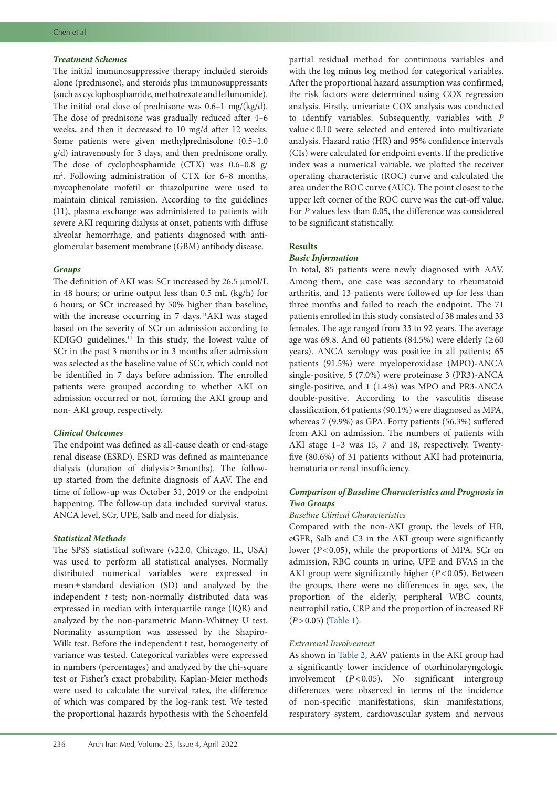# *Treatment Schemes*

The initial immunosuppressive therapy included steroids alone (prednisone), and steroids plus immunosuppressants (such as cyclophosphamide, methotrexate and leflunomide). The initial oral dose of prednisone was 0.6–1 mg/(kg/d). The dose of prednisone was gradually reduced after 4–6 weeks, and then it decreased to 10 mg/d after 12 weeks. Some patients were given methylprednisolone (0.5–1.0 g/d) intravenously for 3 days, and then prednisone orally. The dose of cyclophosphamide (CTX) was 0.6–0.8 g/ m2 . Following administration of CTX for 6–8 months, mycophenolate mofetil or thiazolpurine were used to maintain clinical remission. According to the guidelines (11), plasma exchange was administered to patients with severe AKI requiring dialysis at onset, patients with diffuse alveolar hemorrhage, and patients diagnosed with antiglomerular basement membrane (GBM) antibody disease.

# *Groups*

The definition of AKI was: SCr increased by 26.5 μmol/L in 48 hours; or urine output less than 0.5 mL (kg/h) for 6 hours; or SCr increased by 50% higher than baseline, with the increase occurring in 7 days.<sup>11</sup>AKI was staged based on the severity of SCr on admission according to KDIGO guidelines.<sup>11</sup> In this study, the lowest value of SCr in the past 3 months or in 3 months after admission was selected as the baseline value of SCr, which could not be identified in 7 days before admission. The enrolled patients were grouped according to whether AKI on admission occurred or not, forming the AKI group and non- AKI group, respectively.

# *Clinical Outcomes*

The endpoint was defined as all-cause death or end-stage renal disease (ESRD). ESRD was defined as maintenance dialysis (duration of dialysis≥3months). The followup started from the definite diagnosis of AAV. The end time of follow-up was October 31, 2019 or the endpoint happening. The follow-up data included survival status, ANCA level, SCr, UPE, Salb and need for dialysis.

# *Statistical Methods*

The SPSS statistical software (v22.0, Chicago, IL, USA) was used to perform all statistical analyses. Normally distributed numerical variables were expressed in mean±standard deviation (SD) and analyzed by the independent *t* test; non-normally distributed data was expressed in median with interquartile range (IQR) and analyzed by the non-parametric Mann-Whitney U test. Normality assumption was assessed by the Shapiro-Wilk test. Before the independent t test, homogeneity of variance was tested. Categorical variables were expressed in numbers (percentages) and analyzed by the chi-square test or Fisher's exact probability. Kaplan-Meier methods were used to calculate the survival rates, the difference of which was compared by the log-rank test. We tested the proportional hazards hypothesis with the Schoenfeld partial residual method for continuous variables and with the log minus log method for categorical variables. After the proportional hazard assumption was confirmed, the risk factors were determined using COX regression analysis. Firstly, univariate COX analysis was conducted to identify variables. Subsequently, variables with *P* value<0.10 were selected and entered into multivariate analysis. Hazard ratio (HR) and 95% confidence intervals (CIs) were calculated for endpoint events. If the predictive index was a numerical variable, we plotted the receiver operating characteristic (ROC) curve and calculated the area under the ROC curve (AUC). The point closest to the upper left corner of the ROC curve was the cut-off value. For *P* values less than 0.05, the difference was considered to be significant statistically.

# **Results**

# *Basic Information*

In total, 85 patients were newly diagnosed with AAV. Among them, one case was secondary to rheumatoid arthritis, and 13 patients were followed up for less than three months and failed to reach the endpoint. The 71 patients enrolled in this study consisted of 38 males and 33 females. The age ranged from 33 to 92 years. The average age was 69.8. And 60 patients (84.5%) were elderly ( $\geq 60$ years). ANCA serology was positive in all patients; 65 patients (91.5%) were myeloperoxidase (MPO)-ANCA single-positive, 5 (7.0%) were proteinase 3 (PR3)-ANCA single-positive, and 1 (1.4%) was MPO and PR3-ANCA double-positive. According to the vasculitis disease classification, 64 patients (90.1%) were diagnosed as MPA, whereas 7 (9.9%) as GPA. Forty patients (56.3%) suffered from AKI on admission. The numbers of patients with AKI stage 1–3 was 15, 7 and 18, respectively. Twentyfive (80.6%) of 31 patients without AKI had proteinuria, hematuria or renal insufficiency.

# *Comparison of Baseline Characteristics and Prognosis in Two Groups*

# *Baseline Clinical Characteristics*

Compared with the non-AKI group, the levels of HB, eGFR, Salb and C3 in the AKI group were significantly lower  $(P<0.05)$ , while the proportions of MPA, SCr on admission, RBC counts in urine, UPE and BVAS in the AKI group were significantly higher (*P*<0.05). Between the groups, there were no differences in age, sex, the proportion of the elderly, peripheral WBC counts, neutrophil ratio, CRP and the proportion of increased RF (*P*>0.05) ([Table](#page-2-0) 1).

# *Extrarenal Involvement*

As shown in [Table](#page-2-1) 2, AAV patients in the AKI group had a significantly lower incidence of otorhinolaryngologic involvement (*P*<0.05). No significant intergroup differences were observed in terms of the incidence of non-specific manifestations, skin manifestations, respiratory system, cardiovascular system and nervous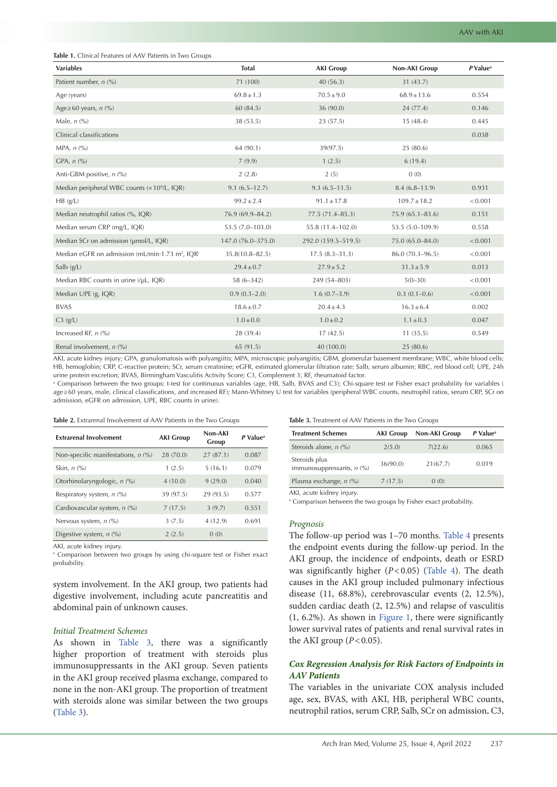<span id="page-2-0"></span>

| Table 1. Clinical Features of AAV Patients in Two Groups |
|----------------------------------------------------------|
|----------------------------------------------------------|

| <b>Variables</b>                                            | <b>Total</b>        | <b>AKI Group</b>    | <b>Non-AKI Group</b> | $P$ Value <sup>a</sup> |
|-------------------------------------------------------------|---------------------|---------------------|----------------------|------------------------|
| Patient number, $n$ (%)                                     | 71 (100)            | 40(56.3)            | 31 (43.7)            |                        |
| Age (years)                                                 | $69.8 \pm 1.3$      | $70.5\pm9.0$        | $68.9 \pm 13.6$      | 0.554                  |
| Age $\geq 60$ years, n (%)                                  | 60 (84.5)           | 36 (90.0)           | 24(77.4)             | 0.146                  |
| Male, $n$ (%)                                               | 38 (53.5)           | 23(57.5)            | 15(48.4)             | 0.445                  |
| Clinical classifications                                    |                     |                     |                      | 0.038                  |
| MPA, $n$ $\left(\frac{9}{6}\right)$                         | 64 (90.1)           | 39(97.5)            | 25 (80.6)            |                        |
| GPA, $n$ $\left(\frac{9}{6}\right)$                         | 7(9.9)              | 1(2.5)              | 6(19.4)              |                        |
| Anti-GBM positive, n (%)                                    | 2(2.8)              | 2(5)                | 0(0)                 |                        |
| Median peripheral WBC counts (x 10 <sup>9</sup> /L, IQR)    | $9.1(6.5 - 12.7)$   | $9.3(6.5 - 11.5)$   | $8.4(6.8-13.9)$      | 0.931                  |
| HB(g/L)                                                     | $99.2 \pm 2.4$      | $91.1 \pm 17.8$     | $109.7 \pm 18.2$     | < 0.001                |
| Median neutrophil ratios (%, IQR)                           | 76.9 (69.9-84.2)    | $77.5(71.4 - 85.3)$ | $75.9(65.1 - 83.6)$  | 0.151                  |
| Median serum CRP (mg/L, IQR)                                | $53.5(7.0 - 103.0)$ | 55.8 (11.4-102.0)   | 53.5 (5.0-109.9)     | 0.558                  |
| Median SCr on admission (µmol/L, IOR)                       | 147.0 (76.0-375.0)  | 292.0 (159.5-519.5) | 75.0 (65.0-84.0)     | < 0.001                |
| Median eGFR on admission (mL/min·1.73 m <sup>2</sup> , IQR) | $35.8(10.8 - 82.5)$ | $17.5(8.3 - 31.3)$  | 86.0 (70.3-96.5)     | < 0.001                |
| Salb $(g/L)$                                                | $29.4 \pm 0.7$      | $27.9 \pm 5.2$      | $31.3 \pm 5.9$       | 0.013                  |
| Median RBC counts in urine (/µL, IQR)                       | $58(6-342)$         | 249 (54-803)        | $5(0-30)$            | < 0.001                |
| Median UPE (g, IQR)                                         | $0.9(0.3-2.0)$      | $1.6(0.7-3.9)$      | $0.3(0.1-0.6)$       | < 0.001                |
| <b>BVAS</b>                                                 | $18.6 \pm 0.7$      | $20.4 \pm 4.3$      | $16.3 \pm 6.4$       | 0.002                  |
| $C3$ (g/L)                                                  | $1.0 \pm 0.0$       | $1.0 \pm 0.2$       | $1.1 \pm 0.3$        | 0.047                  |
| Increased RF, $n$ (%)                                       | 28 (39.4)           | 17(42.5)            | 11(35.5)             | 0.549                  |
| Renal involvement, n (%)                                    | 65 (91.5)           | 40 (100.0)          | 25(80.6)             |                        |

AKI, acute kidney injury; GPA, granulomatosis with polyangiitis; MPA, microscopic polyangiitis; GBM, glomerular basement membrane; WBC, white blood cells; HB, hemoglobin; CRP, C-reactive protein; SCr, serum creatinine; eGFR, estimated glomerular filtration rate; Salb, serum albumin; RBC, red blood cell; UPE, 24h urine protein excretion; BVAS, Birmingham Vasculitis Activity Score; C3, Complement 3; RF, rheumatoid factor.

a Comparison between the two groups: t-test for continuous variables (age, HB, Salb, BVAS and C3); Chi-square test or Fisher exact probability for variables ( age≥60 years, male, clinical classifications, and increased RF); Mann-Whitney U test for variables (peripheral WBC counts, neutrophil ratios, serum CRP, SCr on admission, eGFR on admission, UPE, RBC counts in urine).

#### <span id="page-2-1"></span>**Table 2.** Extrarenal Involvement of AAV Patients in the Two Groups

| <b>Extrarenal Involvement</b>        | <b>AKI Group</b> | Non-AKI<br>Group | P Value <sup>a</sup> |
|--------------------------------------|------------------|------------------|----------------------|
| Non-specific manifestations, $n$ (%) | 28 (70.0)        | 27(87.1)         | 0.087                |
| Skin, $n$ $\left(\frac{9}{6}\right)$ | 1(2.5)           | 5(16.1)          | 0.079                |
| Otorhinolaryngologic, n (%)          | 4(10.0)          | 9(29.0)          | 0.040                |
| Respiratory system, $n$ (%)          | 39 (97.5)        | 29 (93.5)        | 0.577                |
| Cardiovascular system, n (%)         | 7(17.5)          | 3(9.7)           | 0.551                |
| Nervous system, $n$ (%)              | 3(7.5)           | 4(12.9)          | 0.691                |
| Digestive system, $n$ (%)            | 2(2.5)           | 0(0)             |                      |

AKI, acute kidney injury.

a Comparison between two groups by using chi-square test or Fisher exact probability.

system involvement. In the AKI group, two patients had digestive involvement, including acute pancreatitis and abdominal pain of unknown causes.

### *Initial Treatment Schemes*

As shown in [Table](#page-2-2) 3, there was a significantly higher proportion of treatment with steroids plus immunosuppressants in the AKI group. Seven patients in the AKI group received plasma exchange, compared to none in the non-AKI group. The proportion of treatment with steroids alone was similar between the two groups [\(Table](#page-2-2) 3).

<span id="page-2-2"></span>**Table 3.** Treatment of AAV Patients in the Two Groups

| <b>Treatment Schemes</b>                     | <b>AKI Group</b> | Non-AKI Group | P Value <sup>a</sup> |
|----------------------------------------------|------------------|---------------|----------------------|
| Steroids alone, $n$ (%)                      | 2(5.0)           | 7(22.6)       | 0.065                |
| Steroids plus<br>immunosuppressants, $n$ (%) | 36(90.0)         | 21(67.7)      | 0.019                |
| Plasma exchange, $n$ (%)                     | 7(17.5)          | 0(0)          |                      |

AKI, acute kidney injury.

a Comparison between the two groups by Fisher exact probability.

#### *Prognosis*

The follow-up period was 1–70 months. [Table](#page-3-0) 4 presents the endpoint events during the follow-up period. In the AKI group, the incidence of endpoints, death or ESRD was significantly higher (*P*<0.05) [\(Table](#page-3-0) 4). The death causes in the AKI group included pulmonary infectious disease (11, 68.8%), cerebrovascular events (2, 12.5%), sudden cardiac death (2, 12.5%) and relapse of vasculitis (1, 6.2%). As shown in [Figure](#page-3-1) 1, there were significantly lower survival rates of patients and renal survival rates in the AKI group  $(P<0.05)$ .

# *Cox Regression Analysis for Risk Factors of Endpoints in AAV Patients*

The variables in the univariate COX analysis included age, sex, BVAS, with AKI, HB, peripheral WBC counts, neutrophil ratios, serum CRP, Salb, SCr on admission, C3,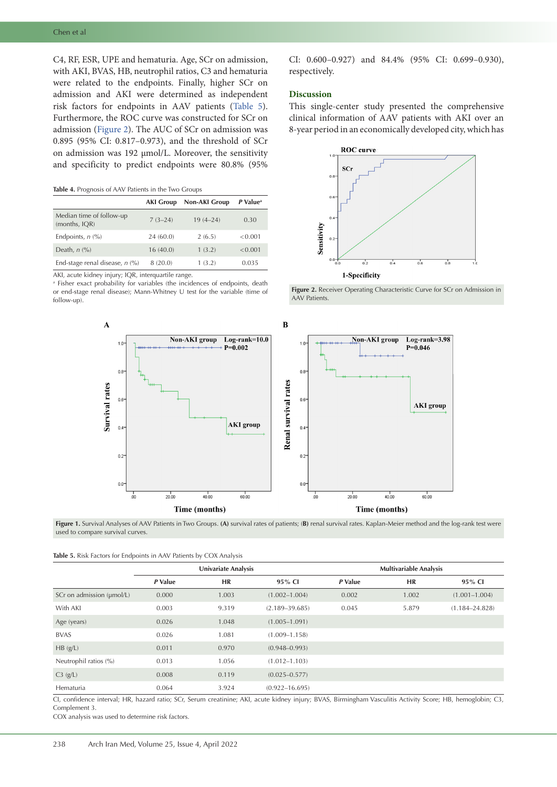C4, RF, ESR, UPE and hematuria. Age, SCr on admission, with AKI, BVAS, HB, neutrophil ratios, C3 and hematuria were related to the endpoints. Finally, higher SCr on admission and AKI were determined as independent risk factors for endpoints in AAV patients [\(Table](#page-3-2) 5). Furthermore, the ROC curve was constructed for SCr on admission ([Figure](#page-3-3) 2). The AUC of SCr on admission was 0.895 (95% CI: 0.817–0.973), and the threshold of SCr on admission was 192 μmol/L. Moreover, the sensitivity and specificity to predict endpoints were 80.8% (95%

### <span id="page-3-0"></span>**Table 4.** Prognosis of AAV Patients in the Two Groups

|                                           | <b>AKI Group</b> | <b>Non-AKI Group</b> | P Value <sup>a</sup> |
|-------------------------------------------|------------------|----------------------|----------------------|
| Median time of follow-up<br>(months, IQR) | $7(3-24)$        | $19(4 - 24)$         | 0.30                 |
| Endpoints, $n$ $\left(\frac{9}{6}\right)$ | 24(60.0)         | 2(6.5)               | < 0.001              |
| Death, $n$ $\left(\frac{9}{6}\right)$     | 16(40.0)         | 1(3.2)               | < 0.001              |
| End-stage renal disease, $n$ (%)          | 8(20.0)          | 1(3.2)               | 0.035                |

AKI, acute kidney injury; IQR, interquartile range.

a Fisher exact probability for variables (the incidences of endpoints, death or end-stage renal disease); Mann-Whitney U test for the variable (time of follow-up).

CI: 0.600–0.927) and 84.4% (95% CI: 0.699–0.930), respectively.

### **Discussion**

This single-center study presented the comprehensive clinical information of AAV patients with AKI over an 8-year period in an economically developed city, which has

<span id="page-3-3"></span>

<span id="page-3-1"></span>**Figure 2.** Receiver Operating Characteristic Curve for SCr on Admission in AAV Patients.



**Figure 1.** Survival Analyses of AAV Patients in Two Groups. **(A)** survival rates of patients; (**B)** renal survival rates. Kaplan-Meier method and the log-rank test were used to compare survival curves.

<span id="page-3-2"></span>

|  |  | Table 5. Risk Factors for Endpoints in AAV Patients by COX Analysis |
|--|--|---------------------------------------------------------------------|
|--|--|---------------------------------------------------------------------|

|                           | <b>Univariate Analysis</b> |       |                    | <b>Multivariable Analysis</b> |       |                    |
|---------------------------|----------------------------|-------|--------------------|-------------------------------|-------|--------------------|
|                           | P Value                    | HR    | 95% CI             | P Value                       | HR    | 95% CI             |
| SCr on admission (µmol/L) | 0.000                      | 1.003 | $(1.002 - 1.004)$  | 0.002                         | 1.002 | $(1.001 - 1.004)$  |
| With AKI                  | 0.003                      | 9.319 | $(2.189 - 39.685)$ | 0.045                         | 5.879 | $(1.184 - 24.828)$ |
| Age (years)               | 0.026                      | 1.048 | $(1.005 - 1.091)$  |                               |       |                    |
| <b>BVAS</b>               | 0.026                      | 1.081 | $(1.009 - 1.158)$  |                               |       |                    |
| HB(g/L)                   | 0.011                      | 0.970 | $(0.948 - 0.993)$  |                               |       |                    |
| Neutrophil ratios (%)     | 0.013                      | 1.056 | $(1.012 - 1.103)$  |                               |       |                    |
| C3(g/L)                   | 0.008                      | 0.119 | $(0.025 - 0.577)$  |                               |       |                    |
| Hematuria                 | 0.064                      | 3.924 | $(0.922 - 16.695)$ |                               |       |                    |

CI, confidence interval; HR, hazard ratio; SCr, Serum creatinine; AKI, acute kidney injury; BVAS, Birmingham Vasculitis Activity Score; HB, hemoglobin; C3, Complement 3.

COX analysis was used to determine risk factors.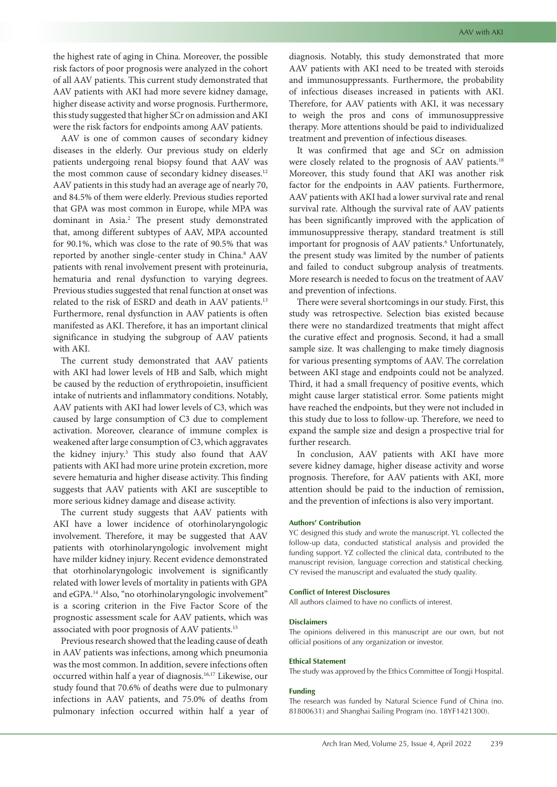the highest rate of aging in China. Moreover, the possible risk factors of poor prognosis were analyzed in the cohort of all AAV patients. This current study demonstrated that AAV patients with AKI had more severe kidney damage, higher disease activity and worse prognosis. Furthermore, this study suggested that higher SCr on admission and AKI were the risk factors for endpoints among AAV patients.

AAV is one of common causes of secondary kidney diseases in the elderly. Our previous study on elderly patients undergoing renal biopsy found that AAV was the most common cause of secondary kidney diseases.<sup>12</sup> AAV patients in this study had an average age of nearly 70, and 84.5% of them were elderly. Previous studies reported that GPA was most common in Europe, while MPA was dominant in Asia.2 The present study demonstrated that, among different subtypes of AAV, MPA accounted for 90.1%, which was close to the rate of 90.5% that was reported by another single-center study in China.<sup>8</sup> AAV patients with renal involvement present with proteinuria, hematuria and renal dysfunction to varying degrees. Previous studies suggested that renal function at onset was related to the risk of ESRD and death in AAV patients.13 Furthermore, renal dysfunction in AAV patients is often manifested as AKI. Therefore, it has an important clinical significance in studying the subgroup of AAV patients with AKI.

The current study demonstrated that AAV patients with AKI had lower levels of HB and Salb, which might be caused by the reduction of erythropoietin, insufficient intake of nutrients and inflammatory conditions. Notably, AAV patients with AKI had lower levels of C3, which was caused by large consumption of C3 due to complement activation. Moreover, clearance of immune complex is weakened after large consumption of C3, which aggravates the kidney injury.3 This study also found that AAV patients with AKI had more urine protein excretion, more severe hematuria and higher disease activity. This finding suggests that AAV patients with AKI are susceptible to more serious kidney damage and disease activity.

The current study suggests that AAV patients with AKI have a lower incidence of otorhinolaryngologic involvement. Therefore, it may be suggested that AAV patients with otorhinolaryngologic involvement might have milder kidney injury. Recent evidence demonstrated that otorhinolaryngologic involvement is significantly related with lower levels of mortality in patients with GPA and eGPA.14 Also, "no otorhinolaryngologic involvement" is a scoring criterion in the Five Factor Score of the prognostic assessment scale for AAV patients, which was associated with poor prognosis of AAV patients.15

Previous research showed that the leading cause of death in AAV patients was infections, among which pneumonia was the most common. In addition, severe infections often occurred within half a year of diagnosis.16,17 Likewise, our study found that 70.6% of deaths were due to pulmonary infections in AAV patients, and 75.0% of deaths from pulmonary infection occurred within half a year of diagnosis. Notably, this study demonstrated that more AAV patients with AKI need to be treated with steroids and immunosuppressants. Furthermore, the probability of infectious diseases increased in patients with AKI. Therefore, for AAV patients with AKI, it was necessary to weigh the pros and cons of immunosuppressive therapy. More attentions should be paid to individualized treatment and prevention of infectious diseases.

It was confirmed that age and SCr on admission were closely related to the prognosis of AAV patients.<sup>18</sup> Moreover, this study found that AKI was another risk factor for the endpoints in AAV patients. Furthermore, AAV patients with AKI had a lower survival rate and renal survival rate. Although the survival rate of AAV patients has been significantly improved with the application of immunosuppressive therapy, standard treatment is still important for prognosis of AAV patients.<sup>6</sup> Unfortunately, the present study was limited by the number of patients and failed to conduct subgroup analysis of treatments. More research is needed to focus on the treatment of AAV and prevention of infections.

There were several shortcomings in our study. First, this study was retrospective. Selection bias existed because there were no standardized treatments that might affect the curative effect and prognosis. Second, it had a small sample size. It was challenging to make timely diagnosis for various presenting symptoms of AAV. The correlation between AKI stage and endpoints could not be analyzed. Third, it had a small frequency of positive events, which might cause larger statistical error. Some patients might have reached the endpoints, but they were not included in this study due to loss to follow-up. Therefore, we need to expand the sample size and design a prospective trial for further research.

In conclusion, AAV patients with AKI have more severe kidney damage, higher disease activity and worse prognosis. Therefore, for AAV patients with AKI, more attention should be paid to the induction of remission, and the prevention of infections is also very important.

### **Authors' Contribution**

YC designed this study and wrote the manuscript. YL collected the follow-up data, conducted statistical analysis and provided the funding support. YZ collected the clinical data, contributed to the manuscript revision, language correction and statistical checking. CY revised the manuscript and evaluated the study quality.

#### **Conflict of Interest Disclosures**

All authors claimed to have no conflicts of interest.

#### **Disclaimers**

The opinions delivered in this manuscript are our own, but not official positions of any organization or investor.

#### **Ethical Statement**

The study was approved by the Ethics Committee of Tongji Hospital.

### **Funding**

The research was funded by Natural Science Fund of China (no. 81800631) and Shanghai Sailing Program (no. 18YF1421300).